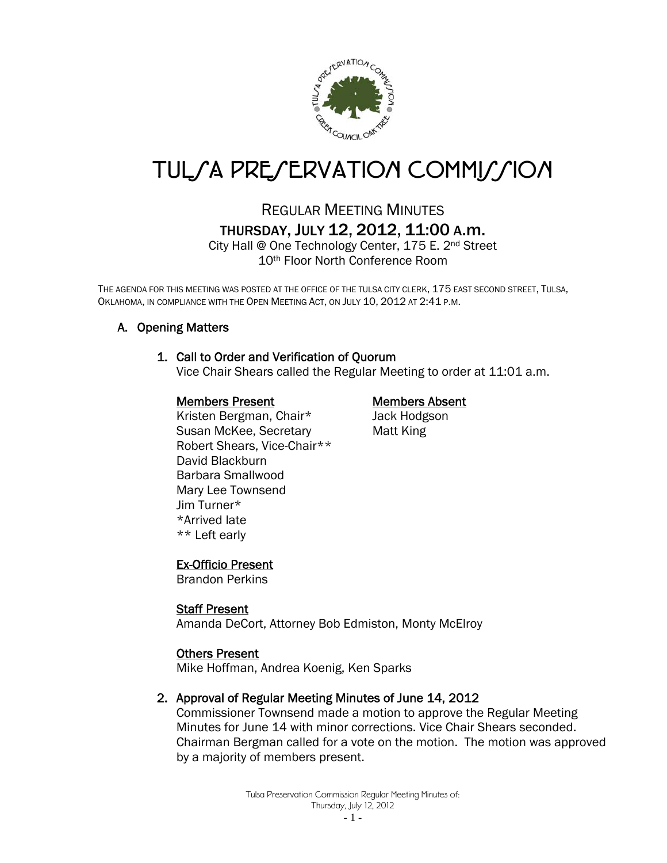

# TUL*SA PRESERVATION COMMISSION*

## REGULAR MEETING MINUTES THURSDAY, JULY 12, 2012, 11:00 A.m.

City Hall @ One Technology Center, 175 E. 2nd Street 10th Floor North Conference Room

THE AGENDA FOR THIS MEETING WAS POSTED AT THE OFFICE OF THE TULSA CITY CLERK, 175 EAST SECOND STREET, TULSA, OKLAHOMA, IN COMPLIANCE WITH THE OPEN MEETING ACT, ON JULY 10, 2012 AT 2:41 P.M.

#### A. Opening Matters

#### 1. Call to Order and Verification of Quorum

Vice Chair Shears called the Regular Meeting to order at 11:01 a.m.

#### Members Present Members Absent

Kristen Bergman, Chair\* Jack Hodgson Susan McKee, Secretary **Matt King** Robert Shears, Vice-Chair\*\* David Blackburn Barbara Smallwood Mary Lee Townsend Jim Turner\* \*Arrived late \*\* Left early

#### Ex-Officio Present

Brandon Perkins

#### Staff Present

Amanda DeCort, Attorney Bob Edmiston, Monty McElroy

#### Others Present

Mike Hoffman, Andrea Koenig, Ken Sparks

#### 2. Approval of Regular Meeting Minutes of June 14, 2012

Commissioner Townsend made a motion to approve the Regular Meeting Minutes for June 14 with minor corrections. Vice Chair Shears seconded. Chairman Bergman called for a vote on the motion. The motion was approved by a majority of members present.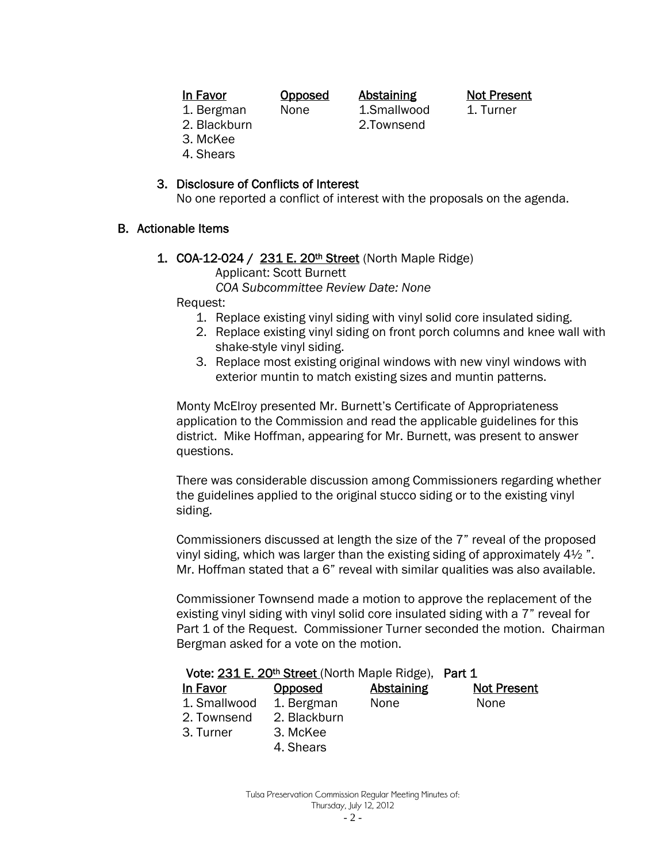| 'V<br>ш<br>0 |
|--------------|
|--------------|

**In Favor Copposed Abstaining Not Present** 

- 1. Bergman None 1. Smallwood 1. Turner 2. Blackburn 2.Townsend
- 
- 3. McKee
- 4. Shears

#### 3. Disclosure of Conflicts of Interest

No one reported a conflict of interest with the proposals on the agenda.

#### B. Actionable Items

1. COA-12-024 / 231 E. 20<sup>th</sup> Street (North Maple Ridge) Applicant: Scott Burnett

 *COA Subcommittee Review Date: None* 

Request:

- 1. Replace existing vinyl siding with vinyl solid core insulated siding.
- 2. Replace existing vinyl siding on front porch columns and knee wall with shake-style vinyl siding.
- 3. Replace most existing original windows with new vinyl windows with exterior muntin to match existing sizes and muntin patterns.

 Monty McElroy presented Mr. Burnett's Certificate of Appropriateness application to the Commission and read the applicable guidelines for this district. Mike Hoffman, appearing for Mr. Burnett, was present to answer questions.

There was considerable discussion among Commissioners regarding whether the guidelines applied to the original stucco siding or to the existing vinyl siding.

 Commissioners discussed at length the size of the 7" reveal of the proposed vinyl siding, which was larger than the existing siding of approximately 4½ ". Mr. Hoffman stated that a 6" reveal with similar qualities was also available.

 Commissioner Townsend made a motion to approve the replacement of the existing vinyl siding with vinyl solid core insulated siding with a 7" reveal for Part 1 of the Request. Commissioner Turner seconded the motion. Chairman Bergman asked for a vote on the motion.

#### Vote: 231 E. 20<sup>th</sup> Street (North Maple Ridge), Part 1

| In Favor     | Opposed      | <b>Abstaining</b> | <b>Not Present</b> |
|--------------|--------------|-------------------|--------------------|
| 1. Smallwood | 1. Bergman   | None              | <b>None</b>        |
| 2. Townsend  | 2. Blackburn |                   |                    |

- 3. Turner 3. McKee
	-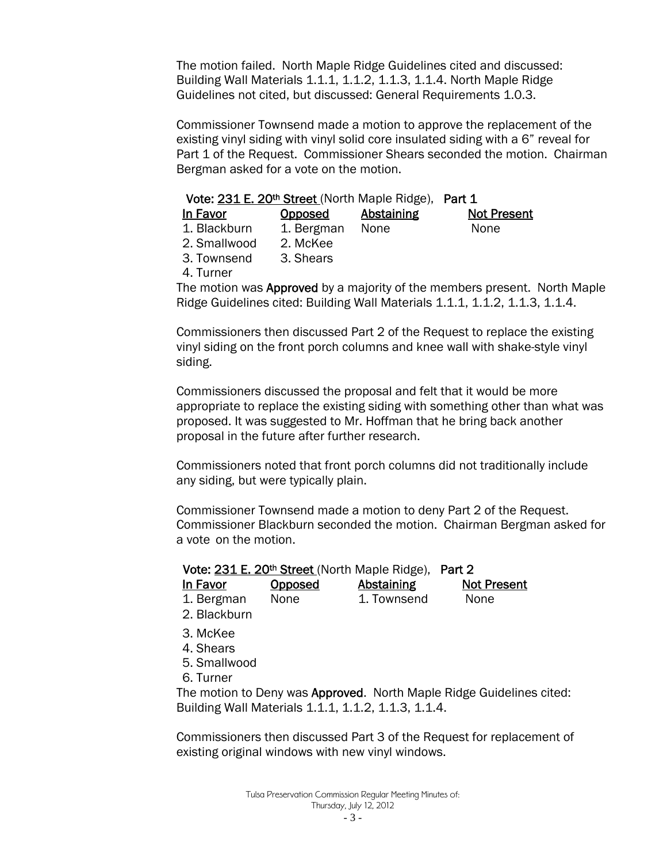The motion failed. North Maple Ridge Guidelines cited and discussed: Building Wall Materials 1.1.1, 1.1.2, 1.1.3, 1.1.4. North Maple Ridge Guidelines not cited, but discussed: General Requirements 1.0.3.

Commissioner Townsend made a motion to approve the replacement of the existing vinyl siding with vinyl solid core insulated siding with a 6" reveal for Part 1 of the Request. Commissioner Shears seconded the motion. Chairman Bergman asked for a vote on the motion.

#### Vote: 231 E. 20<sup>th</sup> Street (North Maple Ridge), Part 1

| In Favor     | Opposed    | <b>Abstaining</b> | <b>Not Present</b> |
|--------------|------------|-------------------|--------------------|
| 1. Blackburn | 1. Bergman | None              | None               |
| 2. Smallwood | 2. McKee   |                   |                    |
| 3. Townsend  | 3. Shears  |                   |                    |

4. Turner

The motion was Approved by a majority of the members present. North Maple Ridge Guidelines cited: Building Wall Materials 1.1.1, 1.1.2, 1.1.3, 1.1.4.

Commissioners then discussed Part 2 of the Request to replace the existing vinyl siding on the front porch columns and knee wall with shake-style vinyl siding.

Commissioners discussed the proposal and felt that it would be more appropriate to replace the existing siding with something other than what was proposed. It was suggested to Mr. Hoffman that he bring back another proposal in the future after further research.

Commissioners noted that front porch columns did not traditionally include any siding, but were typically plain.

Commissioner Townsend made a motion to deny Part 2 of the Request. Commissioner Blackburn seconded the motion. Chairman Bergman asked for a vote on the motion.

|            |         | Vote: 231 E. 20th Street (North Maple Ridge), Part 2 |                    |
|------------|---------|------------------------------------------------------|--------------------|
| In Favor   | Opposed | Abstaining                                           | <b>Not Present</b> |
| 1. Bergman | None    | 1. Townsend                                          | None               |

- 2. Blackburn
- 3. McKee
- 4. Shears
- 5. Smallwood
- 6. Turner

The motion to Deny was Approved. North Maple Ridge Guidelines cited: Building Wall Materials 1.1.1, 1.1.2, 1.1.3, 1.1.4.

Commissioners then discussed Part 3 of the Request for replacement of existing original windows with new vinyl windows.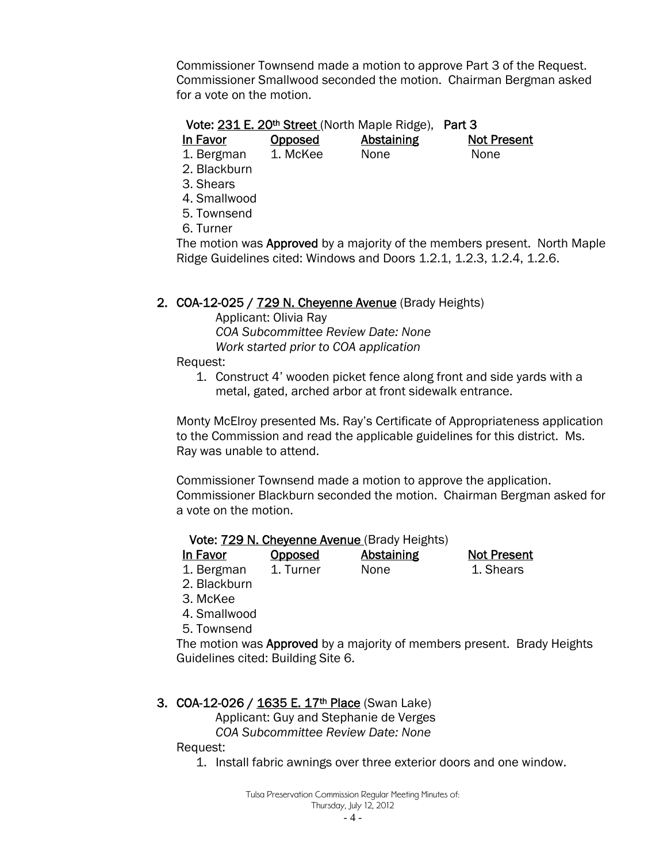Commissioner Townsend made a motion to approve Part 3 of the Request. Commissioner Smallwood seconded the motion. Chairman Bergman asked for a vote on the motion.

#### Vote: 231 E. 20<sup>th</sup> Street (North Maple Ridge), Part 3

In Favor Opposed Abstaining Not Present

1. Bergman 1. McKee None None

- 2. Blackburn
- 3. Shears
- 4. Smallwood
- 5. Townsend
- 6. Turner

The motion was Approved by a majority of the members present. North Maple Ridge Guidelines cited: Windows and Doors 1.2.1, 1.2.3, 1.2.4, 1.2.6.

#### 2. COA-12-025 / 729 N. Cheyenne Avenue (Brady Heights)

 Applicant: Olivia Ray  *COA Subcommittee Review Date: None Work started prior to COA application* 

Request:

1. Construct 4' wooden picket fence along front and side yards with a metal, gated, arched arbor at front sidewalk entrance.

Monty McElroy presented Ms. Ray's Certificate of Appropriateness application to the Commission and read the applicable guidelines for this district. Ms. Ray was unable to attend.

Commissioner Townsend made a motion to approve the application. Commissioner Blackburn seconded the motion. Chairman Bergman asked for a vote on the motion.

#### Vote: 729 N. Cheyenne Avenue (Brady Heights)

- In Favor Opposed Abstaining Not Present 1. Bergman 1. Turner None 1. Shears
- 2. Blackburn
- 3. McKee
- 4. Smallwood
- 5. Townsend

The motion was **Approved** by a majority of members present. Brady Heights Guidelines cited: Building Site 6.

### 3. COA-12-026 / 1635 E. 17<sup>th</sup> Place (Swan Lake)

Applicant: Guy and Stephanie de Verges

 *COA Subcommittee Review Date: None* 

Request:

1. Install fabric awnings over three exterior doors and one window.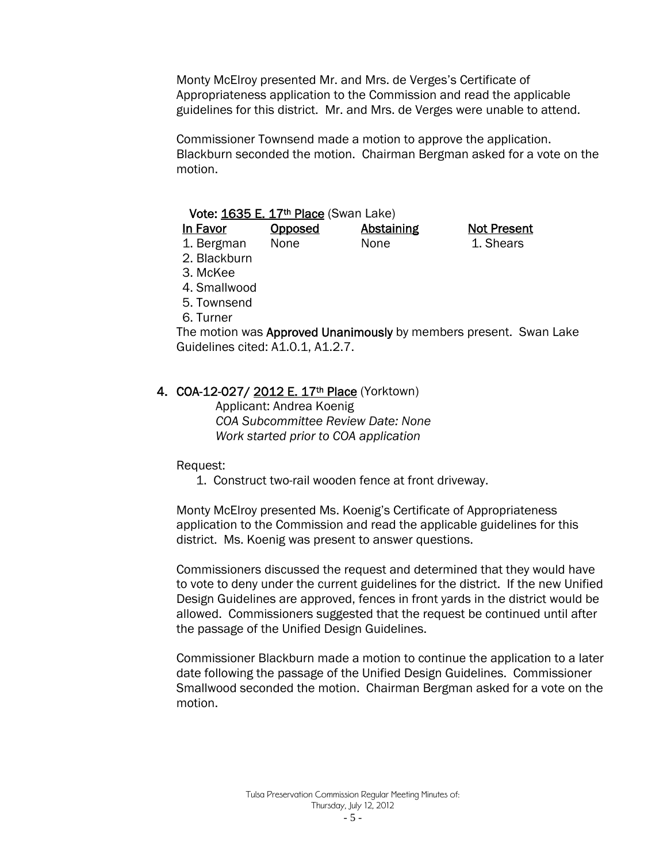Monty McElroy presented Mr. and Mrs. de Verges's Certificate of Appropriateness application to the Commission and read the applicable guidelines for this district. Mr. and Mrs. de Verges were unable to attend.

Commissioner Townsend made a motion to approve the application. Blackburn seconded the motion. Chairman Bergman asked for a vote on the motion.

|             | Vote: 1635 E. 17th Place (Swan Lake) |            |                    |
|-------------|--------------------------------------|------------|--------------------|
| In Favor    | Opposed                              | Abstaining | <b>Not Present</b> |
| 1. Bergman  | None                                 | None       | 1. Shears          |
| 2 Rlackhurn |                                      |            |                    |

2. Blackburn

3. McKee

4. Smallwood

5. Townsend

6. Turner

The motion was **Approved Unanimously** by members present. Swan Lake Guidelines cited: A1.0.1, A1.2.7.

#### 4. COA-12-027/ 2012 E. 17th Place (Yorktown)

 Applicant: Andrea Koenig *COA Subcommittee Review Date: None Work started prior to COA application* 

Request:

1. Construct two-rail wooden fence at front driveway.

Monty McElroy presented Ms. Koenig's Certificate of Appropriateness application to the Commission and read the applicable guidelines for this district. Ms. Koenig was present to answer questions.

Commissioners discussed the request and determined that they would have to vote to deny under the current guidelines for the district. If the new Unified Design Guidelines are approved, fences in front yards in the district would be allowed. Commissioners suggested that the request be continued until after the passage of the Unified Design Guidelines.

Commissioner Blackburn made a motion to continue the application to a later date following the passage of the Unified Design Guidelines. Commissioner Smallwood seconded the motion. Chairman Bergman asked for a vote on the motion.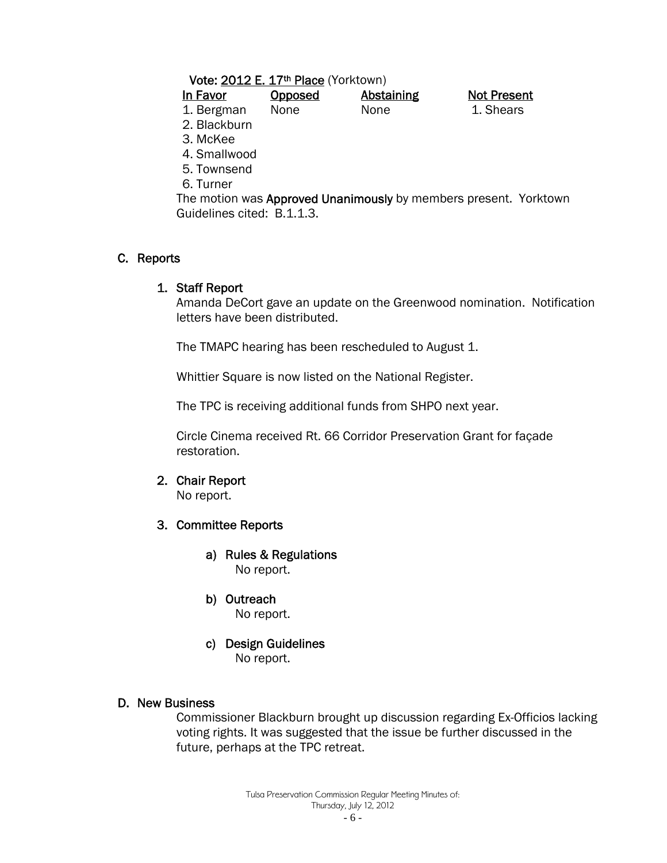#### Vote: 2012 E. 17th Place (Yorktown)

| In Favor     | <b>Opposed</b> | <b>Abstaining</b> |  |
|--------------|----------------|-------------------|--|
| 1. Bergman   | None           | <b>None</b>       |  |
| 2. Blackburn |                |                   |  |

3. McKee

4. Smallwood

5. Townsend

6. Turner

The motion was Approved Unanimously by members present. Yorktown Guidelines cited: B.1.1.3.

**Not Present** 1. Shears

#### C. Reports

#### 1. Staff Report

Amanda DeCort gave an update on the Greenwood nomination. Notification letters have been distributed.

The TMAPC hearing has been rescheduled to August 1.

Whittier Square is now listed on the National Register.

The TPC is receiving additional funds from SHPO next year.

Circle Cinema received Rt. 66 Corridor Preservation Grant for façade restoration.

#### 2. Chair Report

No report.

#### 3. Committee Reports

- a) Rules & Regulations No report.
- b) Outreach

No report.

c) Design Guidelines No report.

#### D. New Business

Commissioner Blackburn brought up discussion regarding Ex-Officios lacking voting rights. It was suggested that the issue be further discussed in the future, perhaps at the TPC retreat.